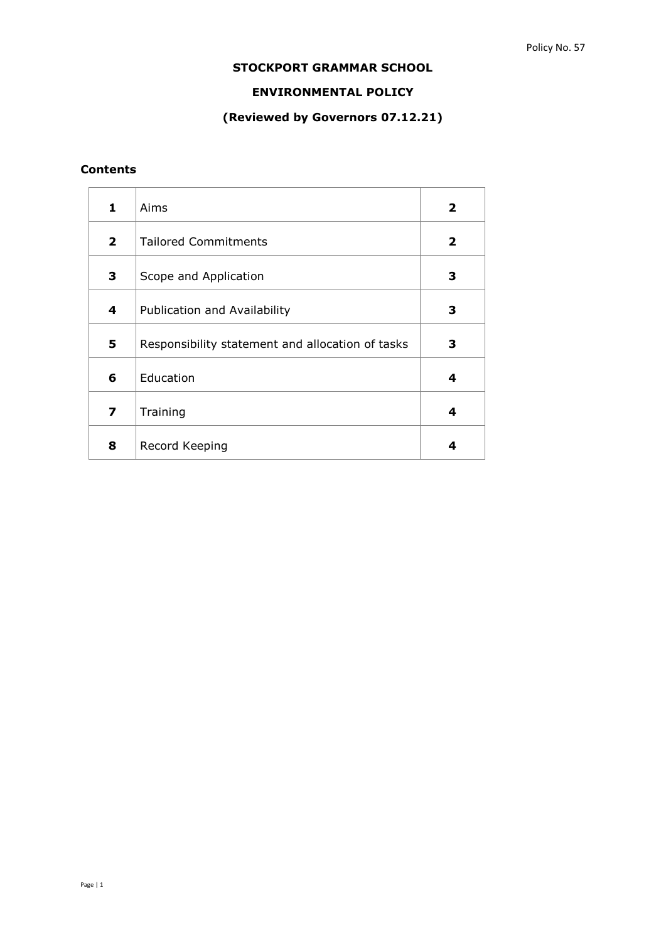# **STOCKPORT GRAMMAR SCHOOL**

## **ENVIRONMENTAL POLICY**

# **(Reviewed by Governors 07.12.21)**

# **Contents**

| 1              | Aims                                             | $\mathbf{2}$ |
|----------------|--------------------------------------------------|--------------|
| $\overline{2}$ | <b>Tailored Commitments</b>                      | $\mathbf{2}$ |
| 3              | Scope and Application                            | З            |
| 4              | Publication and Availability                     | з            |
| 5              | Responsibility statement and allocation of tasks | 3            |
| 6              | Education                                        | 4            |
| 7              | Training                                         | 4            |
| 8              | Record Keeping                                   | 4            |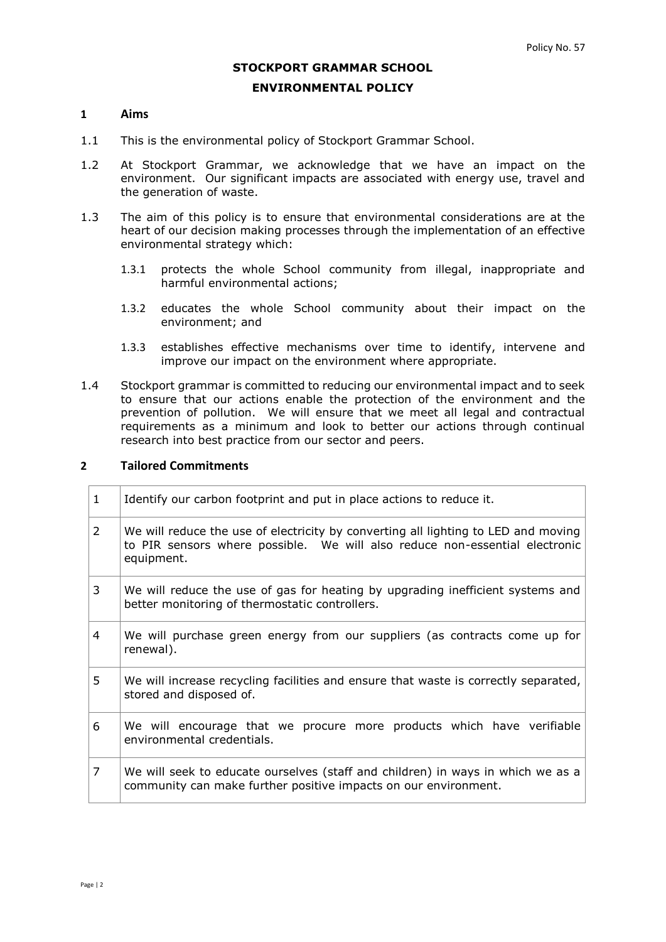#### **STOCKPORT GRAMMAR SCHOOL**

#### **ENVIRONMENTAL POLICY**

#### **1 Aims**

- 1.1 This is the environmental policy of Stockport Grammar School.
- 1.2 At Stockport Grammar, we acknowledge that we have an impact on the environment. Our significant impacts are associated with energy use, travel and the generation of waste.
- 1.3 The aim of this policy is to ensure that environmental considerations are at the heart of our decision making processes through the implementation of an effective environmental strategy which:
	- 1.3.1 protects the whole School community from illegal, inappropriate and harmful environmental actions;
	- 1.3.2 educates the whole School community about their impact on the environment; and
	- 1.3.3 establishes effective mechanisms over time to identify, intervene and improve our impact on the environment where appropriate.
- 1.4 Stockport grammar is committed to reducing our environmental impact and to seek to ensure that our actions enable the protection of the environment and the prevention of pollution. We will ensure that we meet all legal and contractual requirements as a minimum and look to better our actions through continual research into best practice from our sector and peers.

#### **2 Tailored Commitments**

| $\mathbf{1}$   | Identify our carbon footprint and put in place actions to reduce it.                                                                                                            |
|----------------|---------------------------------------------------------------------------------------------------------------------------------------------------------------------------------|
| $\overline{2}$ | We will reduce the use of electricity by converting all lighting to LED and moving<br>to PIR sensors where possible. We will also reduce non-essential electronic<br>equipment. |
| 3              | We will reduce the use of gas for heating by upgrading inefficient systems and<br>better monitoring of thermostatic controllers.                                                |
| 4              | We will purchase green energy from our suppliers (as contracts come up for<br>renewal).                                                                                         |
| 5              | We will increase recycling facilities and ensure that waste is correctly separated,<br>stored and disposed of.                                                                  |
| 6              | We will encourage that we procure more products which have verifiable<br>environmental credentials.                                                                             |
| $\overline{7}$ | We will seek to educate ourselves (staff and children) in ways in which we as a<br>community can make further positive impacts on our environment.                              |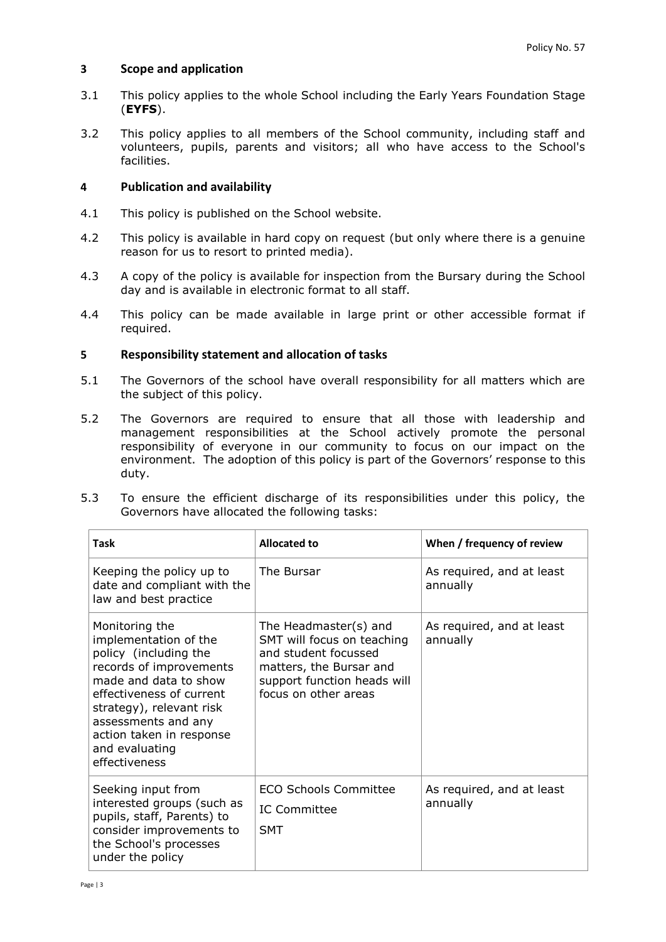## **3 Scope and application**

- 3.1 This policy applies to the whole School including the Early Years Foundation Stage (**EYFS**).
- 3.2 This policy applies to all members of the School community, including staff and volunteers, pupils, parents and visitors; all who have access to the School's facilities.

## **4 Publication and availability**

- 4.1 This policy is published on the School website.
- 4.2 This policy is available in hard copy on request (but only where there is a genuine reason for us to resort to printed media).
- 4.3 A copy of the policy is available for inspection from the Bursary during the School day and is available in electronic format to all staff.
- 4.4 This policy can be made available in large print or other accessible format if required.

### **5 Responsibility statement and allocation of tasks**

- 5.1 The Governors of the school have overall responsibility for all matters which are the subject of this policy.
- 5.2 The Governors are required to ensure that all those with leadership and management responsibilities at the School actively promote the personal responsibility of everyone in our community to focus on our impact on the environment. The adoption of this policy is part of the Governors' response to this duty.
- 5.3 To ensure the efficient discharge of its responsibilities under this policy, the Governors have allocated the following tasks:

| <b>Task</b>                                                                                                                                                                                                                                                        | <b>Allocated to</b>                                                                                                                                           | When / frequency of review            |
|--------------------------------------------------------------------------------------------------------------------------------------------------------------------------------------------------------------------------------------------------------------------|---------------------------------------------------------------------------------------------------------------------------------------------------------------|---------------------------------------|
| Keeping the policy up to<br>date and compliant with the<br>law and best practice                                                                                                                                                                                   | The Bursar                                                                                                                                                    | As required, and at least<br>annually |
| Monitoring the<br>implementation of the<br>policy (including the<br>records of improvements<br>made and data to show<br>effectiveness of current<br>strategy), relevant risk<br>assessments and any<br>action taken in response<br>and evaluating<br>effectiveness | The Headmaster(s) and<br>SMT will focus on teaching<br>and student focussed<br>matters, the Bursar and<br>support function heads will<br>focus on other areas | As required, and at least<br>annually |
| Seeking input from<br>interested groups (such as<br>pupils, staff, Parents) to<br>consider improvements to<br>the School's processes<br>under the policy                                                                                                           | <b>ECO Schools Committee</b><br><b>IC Committee</b><br><b>SMT</b>                                                                                             | As required, and at least<br>annually |